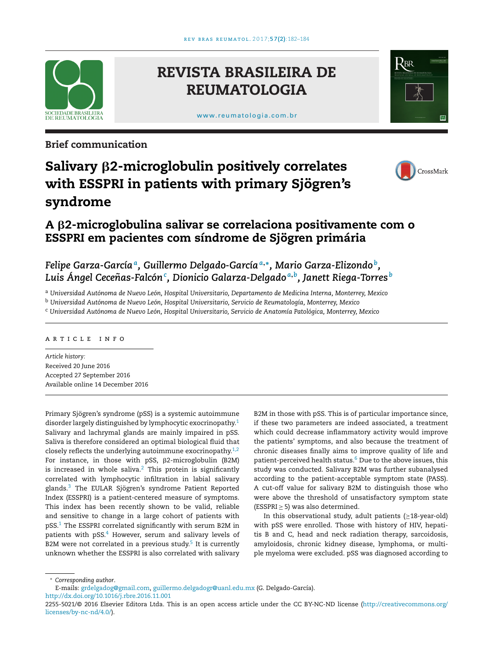

## **REVISTA BRASILEIRA DE REUMATOLOGIA**

[www.reumatologia.com.br](http://www.reumatologia.com.br)



**Brief communication**

# **Salivary** <code>β2-microglobulin</code> positively correlates **with ESSPRI in patients with primary Sjögren's syndrome**



## **A** β2-microglobulina salivar se correlaciona positivamente com o **ESSPRI em pacientes com síndrome de Sjögren primária**

### *Felipe Garza-Garcíaa, Guillermo Delgado-García<sup>a</sup>***,∗***, Mario Garza-Elizondo b, Luis Ángel Cecenas-Falcón ˜ <sup>c</sup> , Dionicio Galarza-Delgado <sup>a</sup>***,***b, Janett Riega-Torres <sup>b</sup>*

<sup>a</sup> *Universidad Autónoma de Nuevo León, Hospital Universitario, Departamento de Medicina Interna, Monterrey, Mexico*

<sup>b</sup> *Universidad Autónoma de Nuevo León, Hospital Universitario, Servicio de Reumatología, Monterrey, Mexico*

<sup>c</sup> *Universidad Autónoma de Nuevo León, Hospital Universitario, Servicio de Anatomía Patológica, Monterrey, Mexico*

### a r t i c l e i n f o

*Article history:* Received 20 June 2016 Accepted 27 September 2016 Available online 14 December 2016

Primary Sjögren's syndrome (pSS) is a systemic autoimmune disorder largely distinguished by lymphocytic exocrinopathy.<sup>[1](#page-2-0)</sup> Salivary and lachrymal glands are mainly impaired in pSS. Saliva is therefore considered an optimal biological fluid that closely reflects the underlying autoimmune exocrinopathy. $1,2$ For instance, in those with pSS, β2-microglobulin (B2M) is increased in whole saliva. $2$  This protein is significantly correlated with lymphocytic infiltration in labial salivary glands[.3](#page-2-0) The EULAR Sjögren's syndrome Patient Reported Index (ESSPRI) is a patient-centered measure of symptoms. This index has been recently shown to be valid, reliable and sensitive to change in a large cohort of patients with pSS.[1](#page-2-0) The ESSPRI correlated significantly with serum B2M in patients with  $pSS<sup>4</sup>$  However, serum and salivary levels of B2M were not correlated in a previous study.<sup>[5](#page-2-0)</sup> It is currently unknown whether the ESSPRI is also correlated with salivary B2M in those with pSS. This is of particular importance since, if these two parameters are indeed associated, a treatment which could decrease inflammatory activity would improve the patients' symptoms, and also because the treatment of chronic diseases finally aims to improve quality of life and patient-perceived health status.<sup>6</sup> Due to the above issues, this study was conducted. Salivary B2M was further subanalysed according to the patient-acceptable symptom state (PASS). A cut-off value for salivary B2M to distinguish those who were above the threshold of unsatisfactory symptom state  $(ESSPRI > 5)$  was also determined.

In this observational study, adult patients  $(≥18$ -year-old) with pSS were enrolled. Those with history of HIV, hepatitis B and C, head and neck radiation therapy, sarcoidosis, amyloidosis, chronic kidney disease, lymphoma, or multiple myeloma were excluded. pSS was diagnosed according to

∗ *Corresponding author*.

[http://dx.doi.org/10.1016/j.rbre.2016.11.001](dx.doi.org/10.1016/j.rbre.2016.11.001)

E-mails: [grdelgadog@gmail.com,](mailto:grdelgadog@gmail.com) [guillermo.delgadogr@uanl.edu.mx](mailto:guillermo.delgadogr@uanl.edu.mx) (G. Delgado-García).

<sup>2255-5021/©</sup> 2016 Elsevier Editora Ltda. This is an open access article under the CC BY-NC-ND license ([http://creativecommons.org/](http://creativecommons.org/licenses/by-nc-nd/4.0/) [licenses/by-nc-nd/4.0/\)](http://creativecommons.org/licenses/by-nc-nd/4.0/).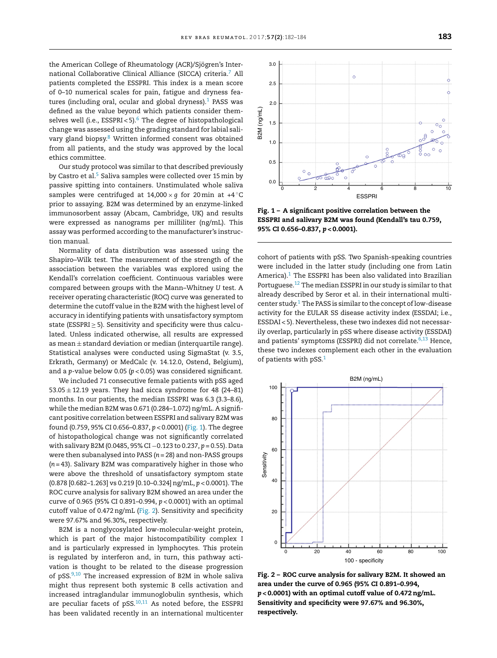<span id="page-1-0"></span>the American College of Rheumatology (ACR)/Sjögren's International Collaborative Clinical Alliance (SICCA) criteria[.7](#page-2-0) All patients completed the ESSPRI. This index is a mean score of 0–10 numerical scales for pain, fatigue and dryness features (including oral, ocular and global dryness). $1$  PASS was defined as the value beyond which patients consider themselves well (i.e., ESSPRI < 5).<sup>6</sup> The degree of histopathological change was assessed using the grading standard for labial salivary gland biopsy.<sup>8</sup> Written informed consent was obtained from all patients, and the study was approved by the local ethics committee.

Our study protocol was similar to that described previously by Castro et al.<sup>[5](#page-2-0)</sup> Saliva samples were collected over 15 min by passive spitting into containers. Unstimulated whole saliva samples were centrifuged at  $14,000 \times g$  for 20 min at  $+4^\circ C$ prior to assaying. B2M was determined by an enzyme-linked immunosorbent assay (Abcam, Cambridge, UK) and results were expressed as nanograms per milliliter (ng/mL). This assay was performed according to the manufacturer's instruction manual.

Normality of data distribution was assessed using the Shapiro–Wilk test. The measurement of the strength of the association between the variables was explored using the Kendall's correlation coefficient. Continuous variables were compared between groups with the Mann–Whitney *U* test. A receiver operating characteristic (ROC) curve was generated to determine the cutoff value in the B2M with the highest level of accuracy in identifying patients with unsatisfactory symptom state (ESSPRI  $\geq$  5). Sensitivity and specificity were thus calculated. Unless indicated otherwise, all results are expressed as mean  $\pm$  standard deviation or median (interquartile range). Statistical analyses were conducted using SigmaStat (v. 3.5, Erkrath, Germany) or MedCalc (v. 14.12.0, Ostend, Belgium), and a *p*-value below 0.05 (*p* < 0.05) was considered significant.

We included 71 consecutive female patients with pSS aged  $53.05 \pm 12.19$  years. They had sicca syndrome for 48 (24-81) months. In our patients, the median ESSPRI was 6.3 (3.3–8.6), while the median B2M was  $0.671$  (0.284-1.072) ng/mL. A significant positive correlation between ESSPRI and salivary B2M was found (0.759, 95% CI 0.656–0.837, *p* < 0.0001) (Fig. 1). The degree of histopathological change was not significantly correlated with salivary B2M (0.0485, 95% CI -0.123 to 0.237, p = 0.55). Data were then subanalysed into PASS (*n* = 28) and non-PASS groups (*n* = 43). Salivary B2M was comparatively higher in those who were above the threshold of unsatisfactory symptom state (0.878 [0.682–1.263] vs 0.219 [0.10–0.324]ng/mL, *p* < 0.0001). The ROC curve analysis for salivary B2M showed an area under the curve of 0.965 (95% CI 0.891–0.994, *p* < 0.0001) with an optimal cutoff value of 0.472ng/mL (Fig. 2). Sensitivity and specificity were 97.67% and 96.30%, respectively.

B2M is a nonglycosylated low-molecular-weight protein, which is part of the major histocompatibility complex I and is particularly expressed in lymphocytes. This protein is regulated by interferon and, in turn, this pathway activation is thought to be related to the disease progression of  $pSS^{9,10}$  The increased expression of B2M in whole saliva might thus represent both systemic B cells activation and increased intraglandular immunoglobulin synthesis, which are peculiar facets of  $pSS$ .<sup>10,11</sup> As noted before, the ESSPRI has been validated recently in an international multicenter



**Fig. 1 – A significant positive correlation between the ESSPRI and salivary B2M was found (Kendall's tau 0.759, 95% CI 0.656–0.837,** *p* **< 0.0001).**

cohort of patients with pSS. Two Spanish-speaking countries were included in the latter study (including one from Latin America). $1$  The ESSPRI has been also validated into Brazilian Portuguese[.12](#page-2-0) The median ESSPRI in our study is similar to that already described by Seror et al. in their international multicenter study. $1$  The PASS is similar to the concept of low-disease activity for the EULAR SS disease activity index (ESSDAI; i.e., ESSDAI < 5). Nevertheless, these two indexes did not necessarily overlap, particularly in pSS where disease activity (ESSDAI) and patients' symptoms (ESSPRI) did not correlate.<sup>6,13</sup> Hence, these two indexes complement each other in the evaluation of patients with pSS.[1](#page-2-0)



**Fig. 2 – ROC curve analysis for salivary B2M. It showed an area under the curve of 0.965 (95% CI 0.891–0.994,** *p* **< 0.0001) with an optimal cutoff value of 0.472ng/mL. Sensitivity and specificity were 97.67% and 96.30%, respectively.**